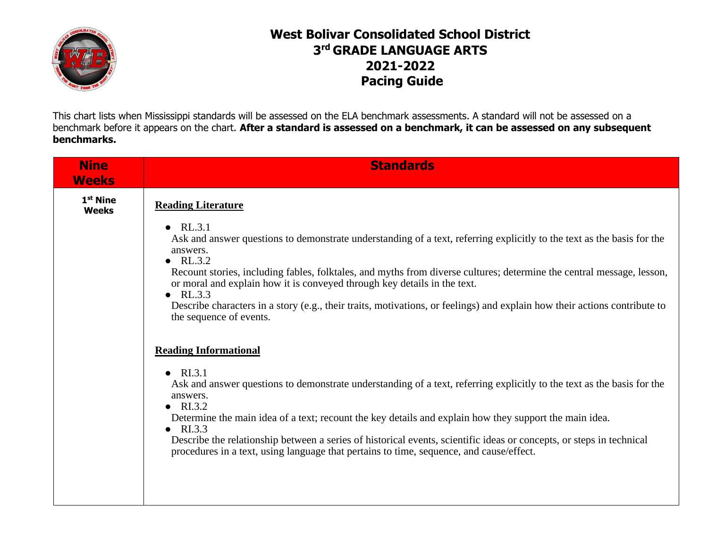

## **West Bolivar Consolidated School District 3 rd GRADE LANGUAGE ARTS 2021-2022 Pacing Guide**

This chart lists when Mississippi standards will be assessed on the ELA benchmark assessments. A standard will not be assessed on a benchmark before it appears on the chart. **After a standard is assessed on a benchmark, it can be assessed on any subsequent benchmarks.**

| <b>Standards</b>                                                                                                                                                                                                      |
|-----------------------------------------------------------------------------------------------------------------------------------------------------------------------------------------------------------------------|
| <b>Reading Literature</b>                                                                                                                                                                                             |
| $\bullet$ RL.3.1<br>Ask and answer questions to demonstrate understanding of a text, referring explicitly to the text as the basis for the<br>answers.<br>$\bullet$ RL.3.2                                            |
| Recount stories, including fables, folktales, and myths from diverse cultures; determine the central message, lesson,<br>or moral and explain how it is conveyed through key details in the text.<br>$\bullet$ RL.3.3 |
| Describe characters in a story (e.g., their traits, motivations, or feelings) and explain how their actions contribute to<br>the sequence of events.                                                                  |
| <b>Reading Informational</b>                                                                                                                                                                                          |
| $\bullet$ RI.3.1<br>Ask and answer questions to demonstrate understanding of a text, referring explicitly to the text as the basis for the<br>answers.<br>$\bullet$ RI.3.2                                            |
| Determine the main idea of a text; recount the key details and explain how they support the main idea.<br>$\bullet$ RI.3.3                                                                                            |
| Describe the relationship between a series of historical events, scientific ideas or concepts, or steps in technical<br>procedures in a text, using language that pertains to time, sequence, and cause/effect.       |
|                                                                                                                                                                                                                       |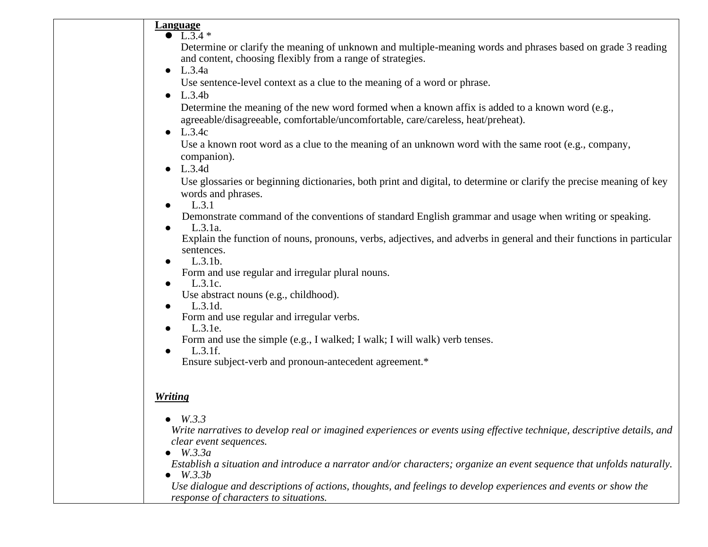|           | <b>Language</b><br>$\bullet$ L.3.4 $*$                                                                                 |
|-----------|------------------------------------------------------------------------------------------------------------------------|
|           | Determine or clarify the meaning of unknown and multiple-meaning words and phrases based on grade 3 reading            |
|           | and content, choosing flexibly from a range of strategies.                                                             |
| $\bullet$ | L.3.4a                                                                                                                 |
|           | Use sentence-level context as a clue to the meaning of a word or phrase.                                               |
| $\bullet$ | L.3.4b                                                                                                                 |
|           | Determine the meaning of the new word formed when a known affix is added to a known word (e.g.,                        |
|           | agreeable/disagreeable, comfortable/uncomfortable, care/careless, heat/preheat).                                       |
| $\bullet$ | L.3.4c                                                                                                                 |
|           | Use a known root word as a clue to the meaning of an unknown word with the same root (e.g., company,                   |
|           | companion).                                                                                                            |
| $\bullet$ | L.3.4d                                                                                                                 |
|           | Use glossaries or beginning dictionaries, both print and digital, to determine or clarify the precise meaning of key   |
|           | words and phrases.                                                                                                     |
| $\bullet$ | L.3.1                                                                                                                  |
| $\bullet$ | Demonstrate command of the conventions of standard English grammar and usage when writing or speaking.<br>L.3.1a.      |
|           | Explain the function of nouns, pronouns, verbs, adjectives, and adverbs in general and their functions in particular   |
|           | sentences.                                                                                                             |
| $\bullet$ | L.3.1b.                                                                                                                |
|           | Form and use regular and irregular plural nouns.                                                                       |
| $\bullet$ | L.3.1c.                                                                                                                |
|           | Use abstract nouns (e.g., childhood).                                                                                  |
|           | L.3.1d.                                                                                                                |
| $\bullet$ | Form and use regular and irregular verbs.<br>L.3.1e.                                                                   |
|           | Form and use the simple (e.g., I walked; I walk; I will walk) verb tenses.                                             |
| $\bullet$ | L.3.1f.                                                                                                                |
|           | Ensure subject-verb and pronoun-antecedent agreement.*                                                                 |
|           |                                                                                                                        |
|           | <b>Writing</b>                                                                                                         |
|           | $\bullet$ W.3.3                                                                                                        |
|           | Write narratives to develop real or imagined experiences or events using effective technique, descriptive details, and |
|           | clear event sequences.<br>W.3.3a                                                                                       |
|           | Establish a situation and introduce a narrator and/or characters; organize an event sequence that unfolds naturally.   |
|           | <i>W.3.3b</i>                                                                                                          |
|           | Use dialogue and descriptions of actions, thoughts, and feelings to develop experiences and events or show the         |
|           | response of characters to situations.                                                                                  |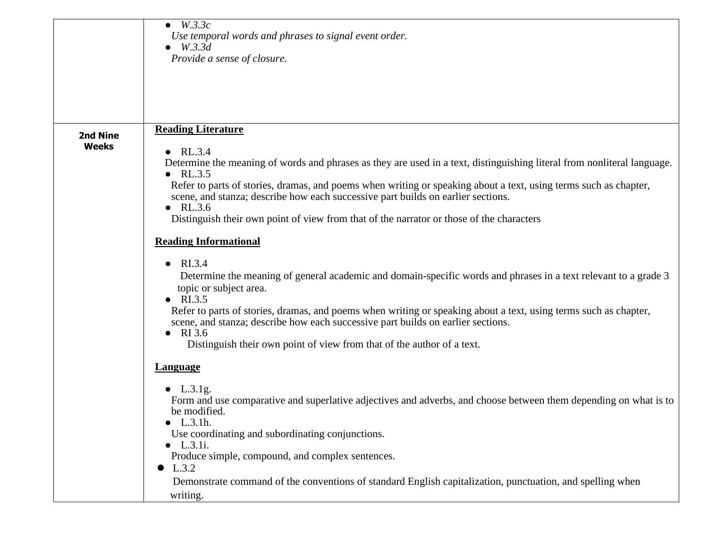| Determine the meaning of words and phrases as they are used in a text, distinguishing literal from nonliteral language. |
|-------------------------------------------------------------------------------------------------------------------------|
| Refer to parts of stories, dramas, and poems when writing or speaking about a text, using terms such as chapter,        |
|                                                                                                                         |
|                                                                                                                         |
| Determine the meaning of general academic and domain-specific words and phrases in a text relevant to a grade 3         |
| Refer to parts of stories, dramas, and poems when writing or speaking about a text, using terms such as chapter,        |
|                                                                                                                         |
|                                                                                                                         |
| Form and use comparative and superlative adjectives and adverbs, and choose between them depending on what is to        |
|                                                                                                                         |
|                                                                                                                         |
| Demonstrate command of the conventions of standard English capitalization, punctuation, and spelling when               |
|                                                                                                                         |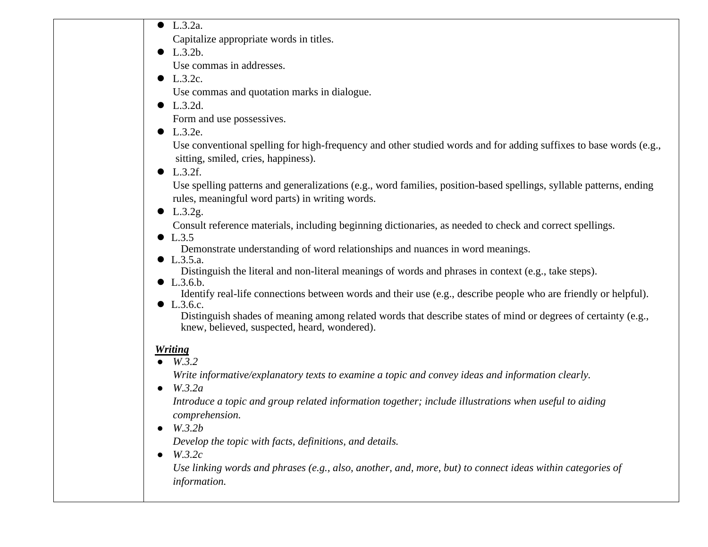● L.3.2a.

Capitalize appropriate words in titles.

- $\bullet$  L.3.2b. Use commas in addresses.
- $\bullet$  L.3.2c.

Use commas and quotation marks in dialogue.

● L.3.2d.

Form and use possessives.

 $\bullet$  L.3.2e.

 Use conventional spelling for high-frequency and other studied words and for adding suffixes to base words (e.g., sitting, smiled, cries, happiness).

 $\bullet$  L.3.2f.

 Use spelling patterns and generalizations (e.g., word families, position-based spellings, syllable patterns, ending rules, meaningful word parts) in writing words.

 $\bullet$  L.3.2g.

Consult reference materials, including beginning dictionaries, as needed to check and correct spellings.

 $\bullet$  L.3.5

Demonstrate understanding of word relationships and nuances in word meanings.

● L.3.5.a.

Distinguish the literal and non-literal meanings of words and phrases in context (e.g., take steps).

 $\bullet$  L.3.6.b.

Identify real-life connections between words and their use (e.g., describe people who are friendly or helpful).

● L.3.6.c.

Distinguish shades of meaning among related words that describe states of mind or degrees of certainty (e.g., knew, believed, suspected, heard, wondered).

## *Writing*

● *W.3.2*

*Write informative/explanatory texts to examine a topic and convey ideas and information clearly.*

● *W.3.2a*

*Introduce a topic and group related information together; include illustrations when useful to aiding comprehension.*

● *W.3.2b*

*Develop the topic with facts, definitions, and details.*

● *W.3.2c*

*Use linking words and phrases (e.g., also, another, and, more, but) to connect ideas within categories of information.*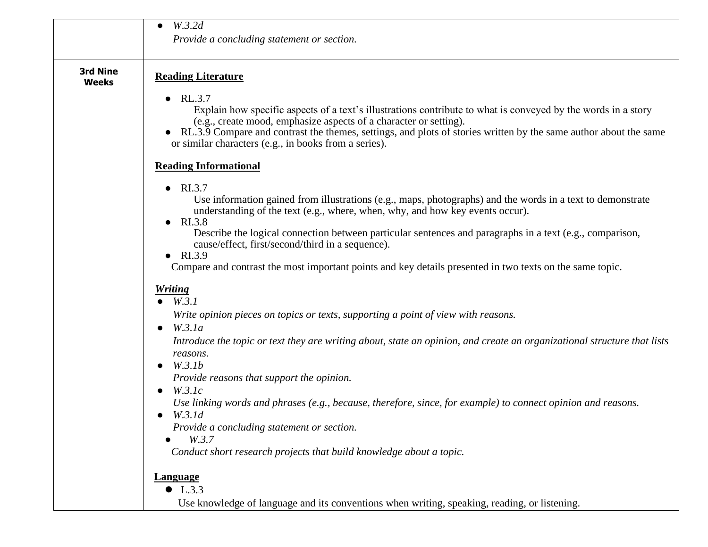|                                 | W.3.2d<br>Provide a concluding statement or section.                                                                                                                                                                                                                                                                                                                      |
|---------------------------------|---------------------------------------------------------------------------------------------------------------------------------------------------------------------------------------------------------------------------------------------------------------------------------------------------------------------------------------------------------------------------|
| <b>3rd Nine</b><br><b>Weeks</b> | <b>Reading Literature</b>                                                                                                                                                                                                                                                                                                                                                 |
|                                 | RL.3.7<br>Explain how specific aspects of a text's illustrations contribute to what is conveyed by the words in a story<br>(e.g., create mood, emphasize aspects of a character or setting).<br>RL.3.9 Compare and contrast the themes, settings, and plots of stories written by the same author about the same<br>or similar characters (e.g., in books from a series). |
|                                 | <b>Reading Informational</b>                                                                                                                                                                                                                                                                                                                                              |
|                                 | RI.3.7                                                                                                                                                                                                                                                                                                                                                                    |
|                                 | $\bullet$<br>Use information gained from illustrations (e.g., maps, photographs) and the words in a text to demonstrate<br>understanding of the text (e.g., where, when, why, and how key events occur).<br>RI.3.8                                                                                                                                                        |
|                                 | $\bullet$<br>Describe the logical connection between particular sentences and paragraphs in a text (e.g., comparison,<br>cause/effect, first/second/third in a sequence).                                                                                                                                                                                                 |
|                                 | RI.3.9<br>Compare and contrast the most important points and key details presented in two texts on the same topic.                                                                                                                                                                                                                                                        |
|                                 | <b>Writing</b>                                                                                                                                                                                                                                                                                                                                                            |
|                                 | $\bullet$ W.3.1                                                                                                                                                                                                                                                                                                                                                           |
|                                 | Write opinion pieces on topics or texts, supporting a point of view with reasons.                                                                                                                                                                                                                                                                                         |
|                                 | W.3.1a<br>$\bullet$                                                                                                                                                                                                                                                                                                                                                       |
|                                 | Introduce the topic or text they are writing about, state an opinion, and create an organizational structure that lists<br>reasons.                                                                                                                                                                                                                                       |
|                                 | W.3.1b<br>$\bullet$                                                                                                                                                                                                                                                                                                                                                       |
|                                 | Provide reasons that support the opinion.<br>W.3.1c                                                                                                                                                                                                                                                                                                                       |
|                                 | Use linking words and phrases (e.g., because, therefore, since, for example) to connect opinion and reasons.                                                                                                                                                                                                                                                              |
|                                 | W.3.1d                                                                                                                                                                                                                                                                                                                                                                    |
|                                 | Provide a concluding statement or section.                                                                                                                                                                                                                                                                                                                                |
|                                 | W.3.7                                                                                                                                                                                                                                                                                                                                                                     |
|                                 | Conduct short research projects that build knowledge about a topic.                                                                                                                                                                                                                                                                                                       |
|                                 | <b>Language</b>                                                                                                                                                                                                                                                                                                                                                           |
|                                 | $\bullet$ L.3.3                                                                                                                                                                                                                                                                                                                                                           |
|                                 | Use knowledge of language and its conventions when writing, speaking, reading, or listening.                                                                                                                                                                                                                                                                              |